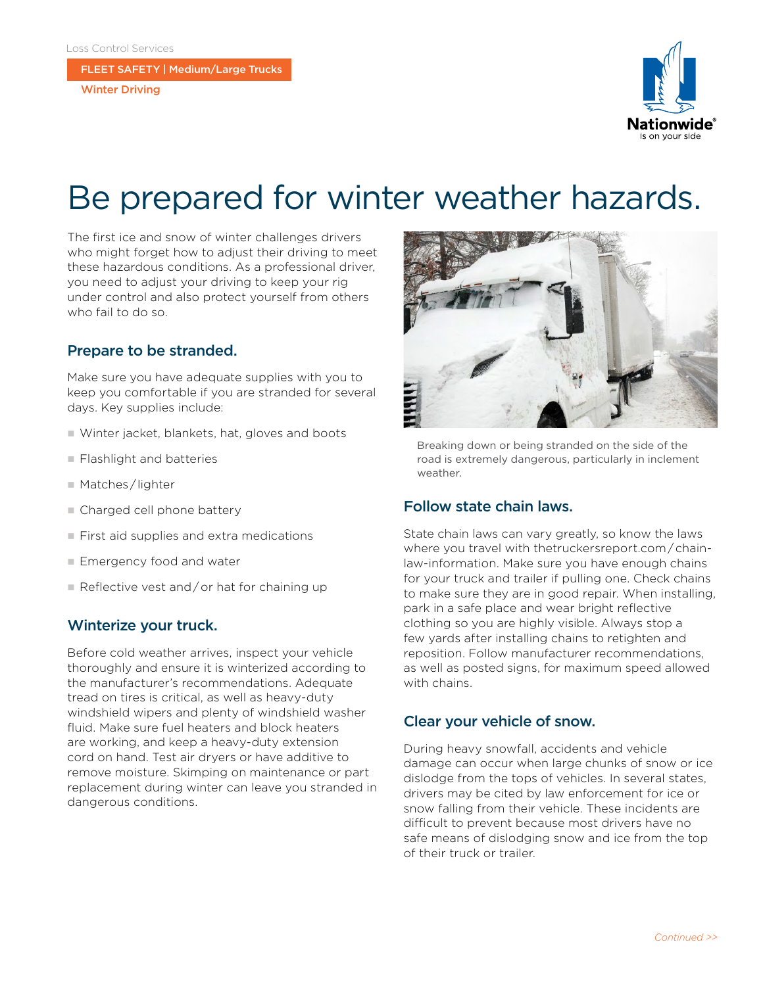FLEET SAFETY | Medium/Large Trucks

Winter Driving



# Be prepared for winter weather hazards.

The first ice and snow of winter challenges drivers who might forget how to adjust their driving to meet these hazardous conditions. As a professional driver, you need to adjust your driving to keep your rig under control and also protect yourself from others who fail to do so.

### Prepare to be stranded.

Make sure you have adequate supplies with you to keep you comfortable if you are stranded for several days. Key supplies include:

- $\blacksquare$  Winter jacket, blankets, hat, gloves and boots
- **Flashlight and batteries**
- Matches / lighter
- Charged cell phone battery
- $\blacksquare$  First aid supplies and extra medications
- Emergency food and water
- $\blacksquare$  Reflective vest and/or hat for chaining up

#### Winterize your truck.

Before cold weather arrives, inspect your vehicle thoroughly and ensure it is winterized according to the manufacturer's recommendations. Adequate tread on tires is critical, as well as heavy-duty windshield wipers and plenty of windshield washer fluid. Make sure fuel heaters and block heaters are working, and keep a heavy-duty extension cord on hand. Test air dryers or have additive to remove moisture. Skimping on maintenance or part replacement during winter can leave you stranded in dangerous conditions.



Breaking down or being stranded on the side of the road is extremely dangerous, particularly in inclement weather.

#### Follow state chain laws.

State chain laws can vary greatly, so know the laws where you travel with thetruckersreport.com / chainlaw-information. Make sure you have enough chains for your truck and trailer if pulling one. Check chains to make sure they are in good repair. When installing, park in a safe place and wear bright reflective clothing so you are highly visible. Always stop a few yards after installing chains to retighten and reposition. Follow manufacturer recommendations, as well as posted signs, for maximum speed allowed with chains.

#### Clear your vehicle of snow.

During heavy snowfall, accidents and vehicle damage can occur when large chunks of snow or ice dislodge from the tops of vehicles. In several states, drivers may be cited by law enforcement for ice or snow falling from their vehicle. These incidents are difficult to prevent because most drivers have no safe means of dislodging snow and ice from the top of their truck or trailer.